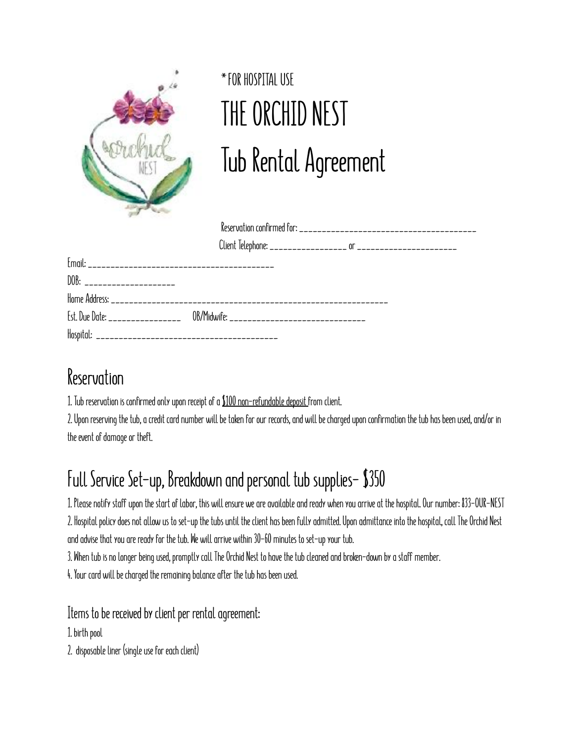

## **\*FOR HOSPITAL USE THE ORCHID NEST Tub Rental Agreement**

| DOB: ______________________                                                      |  |  |
|----------------------------------------------------------------------------------|--|--|
|                                                                                  |  |  |
| [st. Due Date: ____________________ 0B/Midwife: ________________________________ |  |  |
|                                                                                  |  |  |

## **Reservation**

**1. Tub reservation is confirmed only upon receipt of a \$100 non-refundable deposit from client.** 

**2. Upon reserving the tub, a credit card number will be taken for our records, and will be charged upon confirmation the tub has been used, and/or in the event of damage or theft.** 

## **Full Service Set-up, Breakdown and personal tub supplies- \$350**

**1. Please notify staff upon the start of labor, this will ensure we are available and ready when you arrive at the hospital. Our number: 833-OUR-NEST 2. Hospital policy does not allow us to set-up the tubs until the client has been fully admitted. Upon admittance into the hospital, call The Orchid Nest and advise that you are ready for the tub. We will arrive within 30-60 minutes to set-up your tub.** 

**3. When tub is no longer being used, promptly call The Orchid Nest to have the tub cleaned and broken-down by a staff member.** 

**4. Your card will be charged the remaining balance after the tub has been used.** 

**Items to be received by client per rental agreement:** 

**1. birth pool** 

**2. disposable liner (single use for each client)**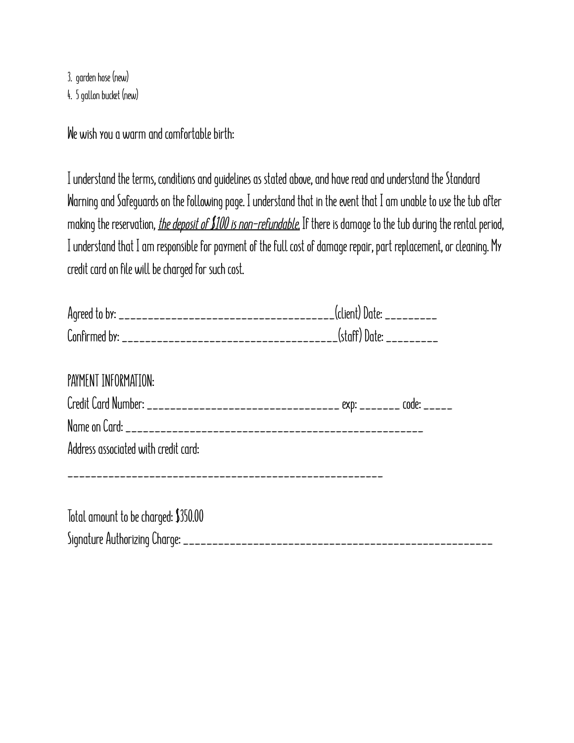**3. garden hose (new) 4. 5 gallon bucket (new)** 

**We wish you a warm and comfortable birth:** 

**I understand the terms, conditions and guidelines as stated above, and have read and understand the Standard Warning and Safeguards on the following page. I understand that in the event that I am unable to use the tub after making the reservation,** *the deposit of \$100 is non-refundable.* **If there is damage to the tub during the rental period, I understand that I am responsible for payment of the full cost of damage repair, part replacement, or cleaning. My credit card on file will be charged for such cost.** 

| Confirmed by:<br>___________________________ | (staff) Date: _ |
|----------------------------------------------|-----------------|
|                                              |                 |

| PAYMENT INFORMATION:                 |  |
|--------------------------------------|--|
|                                      |  |
|                                      |  |
| Address associated with credit card: |  |
|                                      |  |

**Total amount to be charged: \$350.00 Signature Authorizing Charge: \_\_\_\_\_\_\_\_\_\_\_\_\_\_\_\_\_\_\_\_\_\_\_\_\_\_\_\_\_\_\_\_\_\_\_\_\_\_\_\_\_\_\_\_\_\_\_\_\_\_\_\_\_**